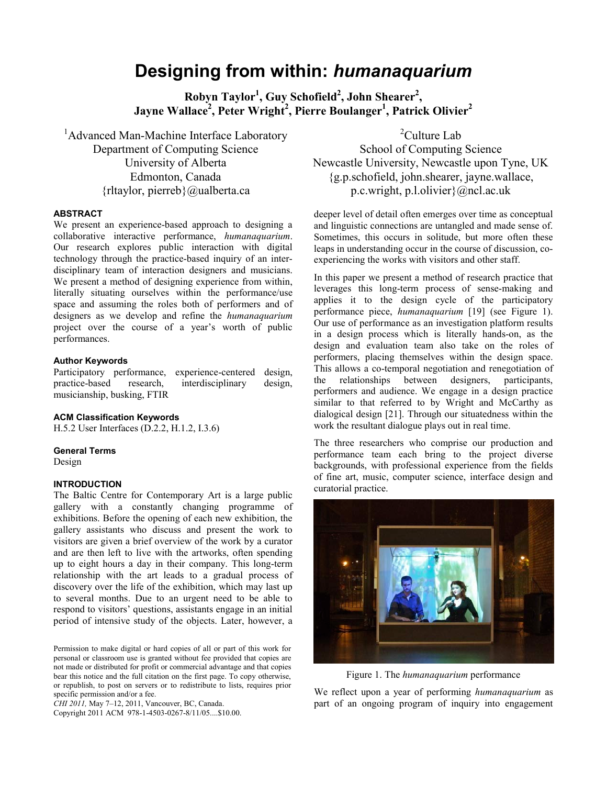# **Designing from within:** *humanaquarium*

**Robyn Taylor1 , Guy Schofield2 , John Shearer2 , Jayne Wallace2 , Peter Wright2 , Pierre Boulanger1 , Patrick Olivier2**

<sup>1</sup>Advanced Man-Machine Interface Laboratory Department of Computing Science University of Alberta Edmonton, Canada {rltaylor, pierreb}@ualberta.ca

## **ABSTRACT**

We present an experience-based approach to designing a collaborative interactive performance, *humanaquarium*. Our research explores public interaction with digital technology through the practice-based inquiry of an interdisciplinary team of interaction designers and musicians. We present a method of designing experience from within, literally situating ourselves within the performance/use space and assuming the roles both of performers and of designers as we develop and refine the *humanaquarium* project over the course of a year's worth of public performances.

#### **Author Keywords**

Participatory performance, experience-centered design, practice-based research, interdisciplinary design, musicianship, busking, FTIR

#### **ACM Classification Keywords**

H.5.2 User Interfaces (D.2.2, H.1.2, I.3.6)

#### **General Terms**

Design

#### **INTRODUCTION**

The Baltic Centre for Contemporary Art is a large public gallery with a constantly changing programme of exhibitions. Before the opening of each new exhibition, the gallery assistants who discuss and present the work to visitors are given a brief overview of the work by a curator and are then left to live with the artworks, often spending up to eight hours a day in their company. This long-term relationship with the art leads to a gradual process of discovery over the life of the exhibition, which may last up to several months. Due to an urgent need to be able to respond to visitors' questions, assistants engage in an initial period of intensive study of the objects. Later, however, a

Permission to make digital or hard copies of all or part of this work for personal or classroom use is granted without fee provided that copies are not made or distributed for profit or commercial advantage and that copies bear this notice and the full citation on the first page. To copy otherwise, or republish, to post on servers or to redistribute to lists, requires prior specific permission and/or a fee.

*CHI 2011,* May 7–12, 2011, Vancouver, BC, Canada.

Copyright 2011 ACM 978-1-4503-0267-8/11/05....\$10.00.

<sup>2</sup>Culture Lab School of Computing Science Newcastle University, Newcastle upon Tyne, UK {g.p.schofield, john.shearer, jayne.wallace, p.c.wright, p.l.olivier}@ncl.ac.uk

deeper level of detail often emerges over time as conceptual and linguistic connections are untangled and made sense of. Sometimes, this occurs in solitude, but more often these leaps in understanding occur in the course of discussion, coexperiencing the works with visitors and other staff.

In this paper we present a method of research practice that leverages this long-term process of sense-making and applies it to the design cycle of the participatory performance piece, *humanaquarium* [19] (see Figure 1). Our use of performance as an investigation platform results in a design process which is literally hands-on, as the design and evaluation team also take on the roles of performers, placing themselves within the design space. This allows a co-temporal negotiation and renegotiation of the relationships between designers, participants, performers and audience. We engage in a design practice similar to that referred to by Wright and McCarthy as dialogical design [21]. Through our situatedness within the work the resultant dialogue plays out in real time.

The three researchers who comprise our production and performance team each bring to the project diverse backgrounds, with professional experience from the fields of fine art, music, computer science, interface design and curatorial practice.



Figure 1. The *humanaquarium* performance

We reflect upon a year of performing *humanaquarium* as part of an ongoing program of inquiry into engagement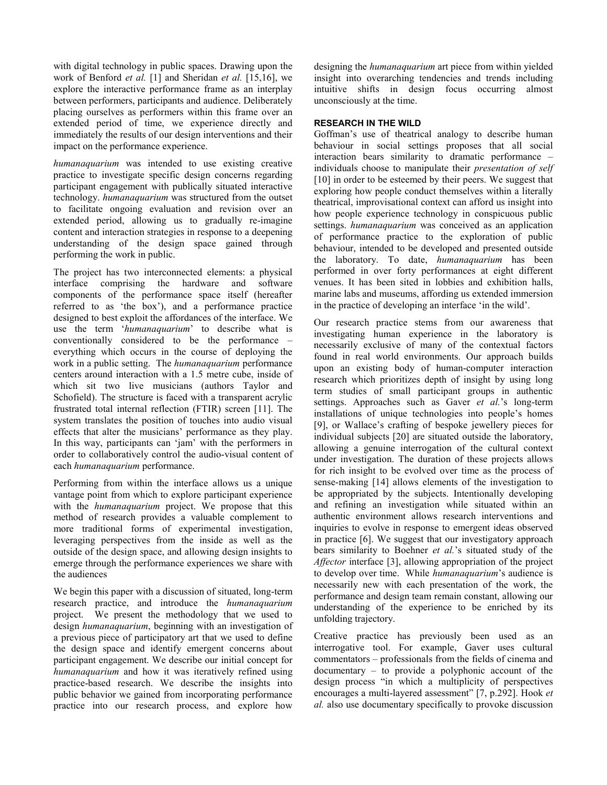with digital technology in public spaces. Drawing upon the work of Benford *et al.* [1] and Sheridan *et al.* [15,16], we explore the interactive performance frame as an interplay between performers, participants and audience. Deliberately placing ourselves as performers within this frame over an extended period of time, we experience directly and immediately the results of our design interventions and their impact on the performance experience.

*humanaquarium* was intended to use existing creative practice to investigate specific design concerns regarding participant engagement with publically situated interactive technology. *humanaquarium* was structured from the outset to facilitate ongoing evaluation and revision over an extended period, allowing us to gradually re-imagine content and interaction strategies in response to a deepening understanding of the design space gained through performing the work in public.

The project has two interconnected elements: a physical interface comprising the hardware and software components of the performance space itself (hereafter referred to as 'the box'), and a performance practice designed to best exploit the affordances of the interface. We use the term '*humanaquarium*' to describe what is conventionally considered to be the performance – everything which occurs in the course of deploying the work in a public setting. The *humanaquarium* performance centers around interaction with a 1.5 metre cube, inside of which sit two live musicians (authors Taylor and Schofield). The structure is faced with a transparent acrylic frustrated total internal reflection (FTIR) screen [11]. The system translates the position of touches into audio visual effects that alter the musicians' performance as they play. In this way, participants can 'jam' with the performers in order to collaboratively control the audio-visual content of each *humanaquarium* performance.

Performing from within the interface allows us a unique vantage point from which to explore participant experience with the *humanaquarium* project. We propose that this method of research provides a valuable complement to more traditional forms of experimental investigation, leveraging perspectives from the inside as well as the outside of the design space, and allowing design insights to emerge through the performance experiences we share with the audiences

We begin this paper with a discussion of situated, long-term research practice, and introduce the *humanaquarium* project. We present the methodology that we used to design *humanaquarium*, beginning with an investigation of a previous piece of participatory art that we used to define the design space and identify emergent concerns about participant engagement. We describe our initial concept for *humanaquarium* and how it was iteratively refined using practice-based research. We describe the insights into public behavior we gained from incorporating performance practice into our research process, and explore how designing the *humanaquarium* art piece from within yielded insight into overarching tendencies and trends including intuitive shifts in design focus occurring almost unconsciously at the time.

# **RESEARCH IN THE WILD**

Goffman's use of theatrical analogy to describe human behaviour in social settings proposes that all social interaction bears similarity to dramatic performance – individuals choose to manipulate their *presentation of self* [10] in order to be esteemed by their peers. We suggest that exploring how people conduct themselves within a literally theatrical, improvisational context can afford us insight into how people experience technology in conspicuous public settings. *humanaquarium* was conceived as an application of performance practice to the exploration of public behaviour, intended to be developed and presented outside the laboratory. To date, *humanaquarium* has been performed in over forty performances at eight different venues. It has been sited in lobbies and exhibition halls, marine labs and museums, affording us extended immersion in the practice of developing an interface 'in the wild'.

Our research practice stems from our awareness that investigating human experience in the laboratory is necessarily exclusive of many of the contextual factors found in real world environments. Our approach builds upon an existing body of human-computer interaction research which prioritizes depth of insight by using long term studies of small participant groups in authentic settings. Approaches such as Gaver *et al.*'s long-term installations of unique technologies into people's homes [9], or Wallace's crafting of bespoke jewellery pieces for individual subjects [20] are situated outside the laboratory, allowing a genuine interrogation of the cultural context under investigation. The duration of these projects allows for rich insight to be evolved over time as the process of sense-making [14] allows elements of the investigation to be appropriated by the subjects. Intentionally developing and refining an investigation while situated within an authentic environment allows research interventions and inquiries to evolve in response to emergent ideas observed in practice [6]. We suggest that our investigatory approach bears similarity to Boehner *et al.*'s situated study of the *Affector* interface [3], allowing appropriation of the project to develop over time. While *humanaquarium*'s audience is necessarily new with each presentation of the work, the performance and design team remain constant, allowing our understanding of the experience to be enriched by its unfolding trajectory.

Creative practice has previously been used as an interrogative tool. For example, Gaver uses cultural commentators – professionals from the fields of cinema and documentary – to provide a polyphonic account of the design process "in which a multiplicity of perspectives encourages a multi-layered assessment" [7, p.292]. Hook *et al.* also use documentary specifically to provoke discussion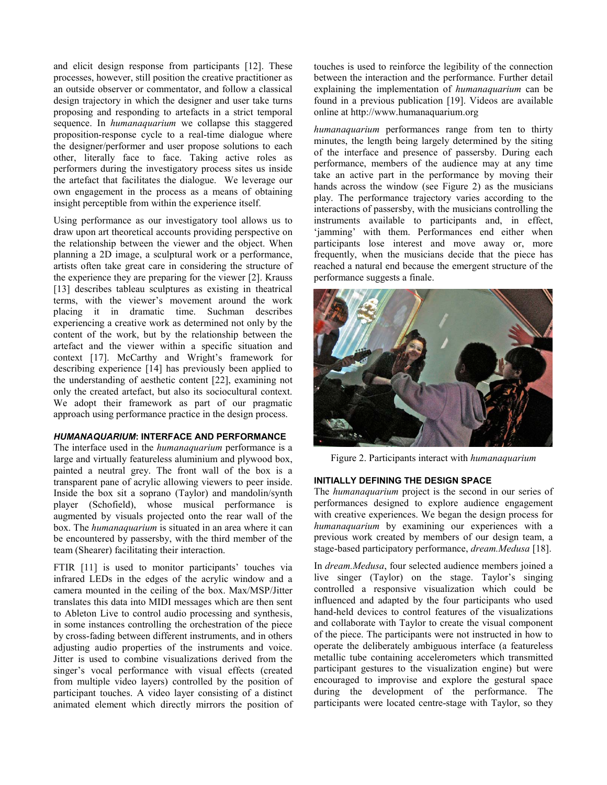and elicit design response from participants [12]. These processes, however, still position the creative practitioner as an outside observer or commentator, and follow a classical design trajectory in which the designer and user take turns proposing and responding to artefacts in a strict temporal sequence. In *humanaquarium* we collapse this staggered proposition-response cycle to a real-time dialogue where the designer/performer and user propose solutions to each other, literally face to face. Taking active roles as performers during the investigatory process sites us inside the artefact that facilitates the dialogue. We leverage our own engagement in the process as a means of obtaining insight perceptible from within the experience itself.

Using performance as our investigatory tool allows us to draw upon art theoretical accounts providing perspective on the relationship between the viewer and the object. When planning a 2D image, a sculptural work or a performance, artists often take great care in considering the structure of the experience they are preparing for the viewer [2]. Krauss [13] describes tableau sculptures as existing in theatrical terms, with the viewer's movement around the work placing it in dramatic time. Suchman describes experiencing a creative work as determined not only by the content of the work, but by the relationship between the artefact and the viewer within a specific situation and context [17]. McCarthy and Wright's framework for describing experience [14] has previously been applied to the understanding of aesthetic content [22], examining not only the created artefact, but also its sociocultural context. We adopt their framework as part of our pragmatic approach using performance practice in the design process.

## *HUMANAQUARIUM***: INTERFACE AND PERFORMANCE**

The interface used in the *humanaquarium* performance is a large and virtually featureless aluminium and plywood box, painted a neutral grey. The front wall of the box is a transparent pane of acrylic allowing viewers to peer inside. Inside the box sit a soprano (Taylor) and mandolin/synth player (Schofield), whose musical performance is augmented by visuals projected onto the rear wall of the box. The *humanaquarium* is situated in an area where it can be encountered by passersby, with the third member of the team (Shearer) facilitating their interaction.

FTIR [11] is used to monitor participants' touches via infrared LEDs in the edges of the acrylic window and a camera mounted in the ceiling of the box. Max/MSP/Jitter translates this data into MIDI messages which are then sent to Ableton Live to control audio processing and synthesis, in some instances controlling the orchestration of the piece by cross-fading between different instruments, and in others adjusting audio properties of the instruments and voice. Jitter is used to combine visualizations derived from the singer's vocal performance with visual effects (created from multiple video layers) controlled by the position of participant touches. A video layer consisting of a distinct animated element which directly mirrors the position of touches is used to reinforce the legibility of the connection between the interaction and the performance. Further detail explaining the implementation of *humanaquarium* can be found in a previous publication [19]. Videos are available online at http://www.humanaquarium.org

*humanaquarium* performances range from ten to thirty minutes, the length being largely determined by the siting of the interface and presence of passersby. During each performance, members of the audience may at any time take an active part in the performance by moving their hands across the window (see Figure 2) as the musicians play. The performance trajectory varies according to the interactions of passersby, with the musicians controlling the instruments available to participants and, in effect, 'jamming' with them. Performances end either when participants lose interest and move away or, more frequently, when the musicians decide that the piece has reached a natural end because the emergent structure of the performance suggests a finale.



Figure 2. Participants interact with *humanaquarium*

# **INITIALLY DEFINING THE DESIGN SPACE**

The *humanaquarium* project is the second in our series of performances designed to explore audience engagement with creative experiences. We began the design process for *humanaquarium* by examining our experiences with a previous work created by members of our design team, a stage-based participatory performance, *dream.Medusa* [18].

In *dream.Medusa*, four selected audience members joined a live singer (Taylor) on the stage. Taylor's singing controlled a responsive visualization which could be influenced and adapted by the four participants who used hand-held devices to control features of the visualizations and collaborate with Taylor to create the visual component of the piece. The participants were not instructed in how to operate the deliberately ambiguous interface (a featureless metallic tube containing accelerometers which transmitted participant gestures to the visualization engine) but were encouraged to improvise and explore the gestural space during the development of the performance. The participants were located centre-stage with Taylor, so they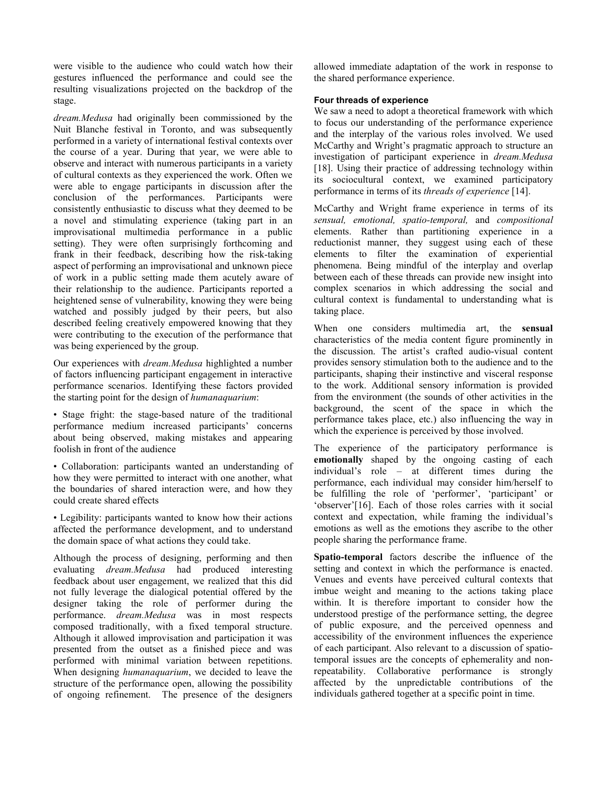were visible to the audience who could watch how their gestures influenced the performance and could see the resulting visualizations projected on the backdrop of the stage.

*dream.Medusa* had originally been commissioned by the Nuit Blanche festival in Toronto, and was subsequently performed in a variety of international festival contexts over the course of a year. During that year, we were able to observe and interact with numerous participants in a variety of cultural contexts as they experienced the work. Often we were able to engage participants in discussion after the conclusion of the performances. Participants were consistently enthusiastic to discuss what they deemed to be a novel and stimulating experience (taking part in an improvisational multimedia performance in a public setting). They were often surprisingly forthcoming and frank in their feedback, describing how the risk-taking aspect of performing an improvisational and unknown piece of work in a public setting made them acutely aware of their relationship to the audience. Participants reported a heightened sense of vulnerability, knowing they were being watched and possibly judged by their peers, but also described feeling creatively empowered knowing that they were contributing to the execution of the performance that was being experienced by the group.

Our experiences with *dream.Medusa* highlighted a number of factors influencing participant engagement in interactive performance scenarios. Identifying these factors provided the starting point for the design of *humanaquarium*:

• Stage fright: the stage-based nature of the traditional performance medium increased participants' concerns about being observed, making mistakes and appearing foolish in front of the audience

• Collaboration: participants wanted an understanding of how they were permitted to interact with one another, what the boundaries of shared interaction were, and how they could create shared effects

• Legibility: participants wanted to know how their actions affected the performance development, and to understand the domain space of what actions they could take.

Although the process of designing, performing and then evaluating *dream.Medusa* had produced interesting feedback about user engagement, we realized that this did not fully leverage the dialogical potential offered by the designer taking the role of performer during the performance. *dream.Medusa* was in most respects composed traditionally, with a fixed temporal structure. Although it allowed improvisation and participation it was presented from the outset as a finished piece and was performed with minimal variation between repetitions. When designing *humanaquarium*, we decided to leave the structure of the performance open, allowing the possibility of ongoing refinement. The presence of the designers allowed immediate adaptation of the work in response to the shared performance experience.

## **Four threads of experience**

We saw a need to adopt a theoretical framework with which to focus our understanding of the performance experience and the interplay of the various roles involved. We used McCarthy and Wright's pragmatic approach to structure an investigation of participant experience in *dream.Medusa* [18]. Using their practice of addressing technology within its sociocultural context, we examined participatory performance in terms of its *threads of experience* [14].

McCarthy and Wright frame experience in terms of its *sensual, emotional, spatio-temporal,* and *compositional* elements. Rather than partitioning experience in a reductionist manner, they suggest using each of these elements to filter the examination of experiential phenomena. Being mindful of the interplay and overlap between each of these threads can provide new insight into complex scenarios in which addressing the social and cultural context is fundamental to understanding what is taking place.

When one considers multimedia art, the **sensual** characteristics of the media content figure prominently in the discussion. The artist's crafted audio-visual content provides sensory stimulation both to the audience and to the participants, shaping their instinctive and visceral response to the work. Additional sensory information is provided from the environment (the sounds of other activities in the background, the scent of the space in which the performance takes place, etc.) also influencing the way in which the experience is perceived by those involved.

The experience of the participatory performance is **emotionally** shaped by the ongoing casting of each individual's role – at different times during the performance, each individual may consider him/herself to be fulfilling the role of 'performer', 'participant' or 'observer'[16]. Each of those roles carries with it social context and expectation, while framing the individual's emotions as well as the emotions they ascribe to the other people sharing the performance frame.

**Spatio-temporal** factors describe the influence of the setting and context in which the performance is enacted. Venues and events have perceived cultural contexts that imbue weight and meaning to the actions taking place within. It is therefore important to consider how the understood prestige of the performance setting, the degree of public exposure, and the perceived openness and accessibility of the environment influences the experience of each participant. Also relevant to a discussion of spatiotemporal issues are the concepts of ephemerality and nonrepeatability. Collaborative performance is strongly affected by the unpredictable contributions of the individuals gathered together at a specific point in time.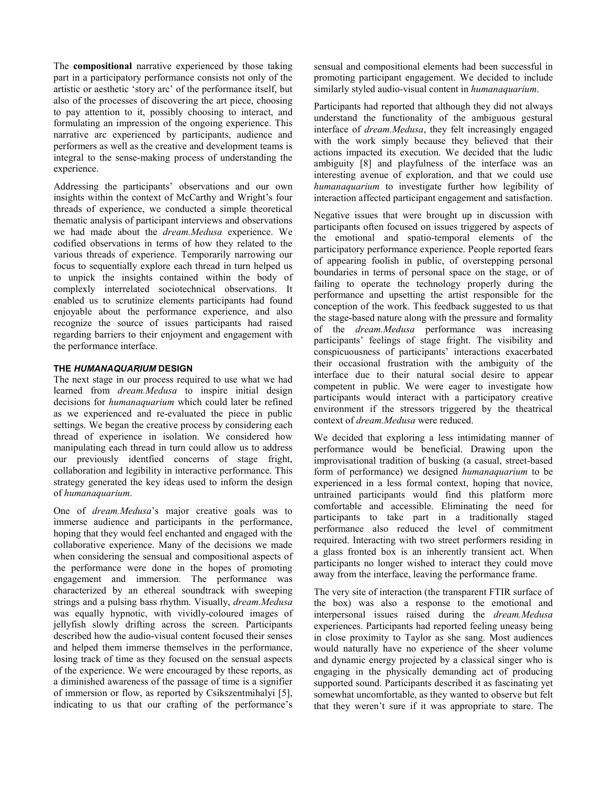The **compositional** narrative experienced by those taking part in a participatory performance consists not only of the artistic or aesthetic 'story arc' of the performance itself, but also of the processes of discovering the art piece, choosing to pay attention to it, possibly choosing to interact, and formulating an impression of the ongoing experience. This narrative arc experienced by participants, audience and performers as well as the creative and development teams is integral to the sense-making process of understanding the experience.

Addressing the participants' observations and our own insights within the context of McCarthy and Wright's four threads of experience, we conducted a simple theoretical thematic analysis of participant interviews and observations we had made about the *dream.Medusa* experience. We codified observations in terms of how they related to the various threads of experience. Temporarily narrowing our focus to sequentially explore each thread in turn helped us to unpick the insights contained within the body of complexly interrelated sociotechnical observations. It enabled us to scrutinize elements participants had found enjoyable about the performance experience, and also recognize the source of issues participants had raised regarding barriers to their enjoyment and engagement with the performance interface.

## **THE** *HUMANAQUARIUM* **DESIGN**

The next stage in our process required to use what we had learned from *dream.Medusa* to inspire initial design decisions for *humanaquarium* which could later be refined as we experienced and re-evaluated the piece in public settings. We began the creative process by considering each thread of experience in isolation. We considered how manipulating each thread in turn could allow us to address our previously identfied concerns of stage fright, collaboration and legibility in interactive performance. This strategy generated the key ideas used to inform the design of *humanaquarium*.

One of *dream.Medusa*'s major creative goals was to immerse audience and participants in the performance, hoping that they would feel enchanted and engaged with the collaborative experience. Many of the decisions we made when considering the sensual and compositional aspects of the performance were done in the hopes of promoting engagement and immersion. The performance was characterized by an ethereal soundtrack with sweeping strings and a pulsing bass rhythm. Visually, *dream.Medusa* was equally hypnotic, with vividly-coloured images of jellyfish slowly drifting across the screen. Participants described how the audio-visual content focused their senses and helped them immerse themselves in the performance, losing track of time as they focused on the sensual aspects of the experience. We were encouraged by these reports, as a diminished awareness of the passage of time is a signifier of immersion or flow, as reported by Csikszentmihalyi [5], indicating to us that our crafting of the performance's sensual and compositional elements had been successful in promoting participant engagement. We decided to include similarly styled audio-visual content in *humanaquarium*.

Participants had reported that although they did not always understand the functionality of the ambiguous gestural interface of *dream.Medusa*, they felt increasingly engaged with the work simply because they believed that their actions impacted its execution. We decided that the ludic ambiguity [8] and playfulness of the interface was an interesting avenue of exploration, and that we could use *humanaquarium* to investigate further how legibility of interaction affected participant engagement and satisfaction.

Negative issues that were brought up in discussion with participants often focused on issues triggered by aspects of the emotional and spatio-temporal elements of the participatory performance experience. People reported fears of appearing foolish in public, of overstepping personal boundaries in terms of personal space on the stage, or of failing to operate the technology properly during the performance and upsetting the artist responsible for the conception of the work. This feedback suggested to us that the stage-based nature along with the pressure and formality of the *dream.Medusa* performance was increasing participants' feelings of stage fright. The visibility and conspicuousness of participants' interactions exacerbated their occasional frustration with the ambiguity of the interface due to their natural social desire to appear competent in public. We were eager to investigate how participants would interact with a participatory creative environment if the stressors triggered by the theatrical context of *dream.Medusa* were reduced.

We decided that exploring a less intimidating manner of performance would be beneficial. Drawing upon the improvisational tradition of busking (a casual, street-based form of performance) we designed *humanaquarium* to be experienced in a less formal context, hoping that novice, untrained participants would find this platform more comfortable and accessible. Eliminating the need for participants to take part in a traditionally staged performance also reduced the level of commitment required. Interacting with two street performers residing in a glass fronted box is an inherently transient act. When participants no longer wished to interact they could move away from the interface, leaving the performance frame.

The very site of interaction (the transparent FTIR surface of the box) was also a response to the emotional and interpersonal issues raised during the *dream.Medusa* experiences. Participants had reported feeling uneasy being in close proximity to Taylor as she sang. Most audiences would naturally have no experience of the sheer volume and dynamic energy projected by a classical singer who is engaging in the physically demanding act of producing supported sound. Participants described it as fascinating yet somewhat uncomfortable, as they wanted to observe but felt that they weren't sure if it was appropriate to stare. The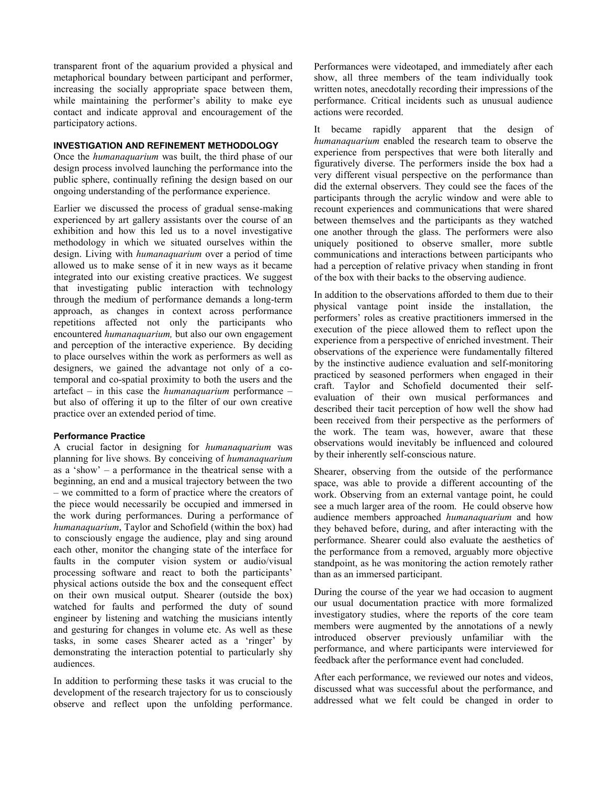transparent front of the aquarium provided a physical and metaphorical boundary between participant and performer, increasing the socially appropriate space between them. while maintaining the performer's ability to make eye contact and indicate approval and encouragement of the participatory actions.

## **INVESTIGATION AND REFINEMENT METHODOLOGY**

Once the *humanaquarium* was built, the third phase of our design process involved launching the performance into the public sphere, continually refining the design based on our ongoing understanding of the performance experience.

Earlier we discussed the process of gradual sense-making experienced by art gallery assistants over the course of an exhibition and how this led us to a novel investigative methodology in which we situated ourselves within the design. Living with *humanaquarium* over a period of time allowed us to make sense of it in new ways as it became integrated into our existing creative practices. We suggest that investigating public interaction with technology through the medium of performance demands a long-term approach, as changes in context across performance repetitions affected not only the participants who encountered *humanaquarium,* but also our own engagement and perception of the interactive experience. By deciding to place ourselves within the work as performers as well as designers, we gained the advantage not only of a cotemporal and co-spatial proximity to both the users and the artefact – in this case the *humanaquarium* performance – but also of offering it up to the filter of our own creative practice over an extended period of time.

## **Performance Practice**

A crucial factor in designing for *humanaquarium* was planning for live shows. By conceiving of *humanaquarium* as a 'show' – a performance in the theatrical sense with a beginning, an end and a musical trajectory between the two – we committed to a form of practice where the creators of the piece would necessarily be occupied and immersed in the work during performances. During a performance of *humanaquarium*, Taylor and Schofield (within the box) had to consciously engage the audience, play and sing around each other, monitor the changing state of the interface for faults in the computer vision system or audio/visual processing software and react to both the participants' physical actions outside the box and the consequent effect on their own musical output. Shearer (outside the box) watched for faults and performed the duty of sound engineer by listening and watching the musicians intently and gesturing for changes in volume etc. As well as these tasks, in some cases Shearer acted as a 'ringer' by demonstrating the interaction potential to particularly shy audiences.

In addition to performing these tasks it was crucial to the development of the research trajectory for us to consciously observe and reflect upon the unfolding performance.

Performances were videotaped, and immediately after each show, all three members of the team individually took written notes, anecdotally recording their impressions of the performance. Critical incidents such as unusual audience actions were recorded.

It became rapidly apparent that the design of *humanaquarium* enabled the research team to observe the experience from perspectives that were both literally and figuratively diverse. The performers inside the box had a very different visual perspective on the performance than did the external observers. They could see the faces of the participants through the acrylic window and were able to recount experiences and communications that were shared between themselves and the participants as they watched one another through the glass. The performers were also uniquely positioned to observe smaller, more subtle communications and interactions between participants who had a perception of relative privacy when standing in front of the box with their backs to the observing audience.

In addition to the observations afforded to them due to their physical vantage point inside the installation, the performers' roles as creative practitioners immersed in the execution of the piece allowed them to reflect upon the experience from a perspective of enriched investment. Their observations of the experience were fundamentally filtered by the instinctive audience evaluation and self-monitoring practiced by seasoned performers when engaged in their craft. Taylor and Schofield documented their selfevaluation of their own musical performances and described their tacit perception of how well the show had been received from their perspective as the performers of the work. The team was, however, aware that these observations would inevitably be influenced and coloured by their inherently self-conscious nature.

Shearer, observing from the outside of the performance space, was able to provide a different accounting of the work. Observing from an external vantage point, he could see a much larger area of the room. He could observe how audience members approached *humanaquarium* and how they behaved before, during, and after interacting with the performance. Shearer could also evaluate the aesthetics of the performance from a removed, arguably more objective standpoint, as he was monitoring the action remotely rather than as an immersed participant.

During the course of the year we had occasion to augment our usual documentation practice with more formalized investigatory studies, where the reports of the core team members were augmented by the annotations of a newly introduced observer previously unfamiliar with the performance, and where participants were interviewed for feedback after the performance event had concluded.

After each performance, we reviewed our notes and videos, discussed what was successful about the performance, and addressed what we felt could be changed in order to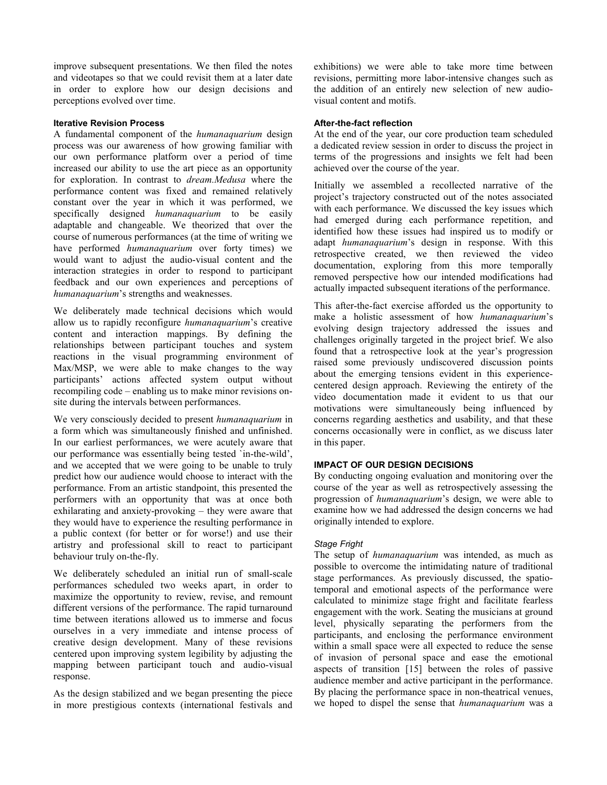improve subsequent presentations. We then filed the notes and videotapes so that we could revisit them at a later date in order to explore how our design decisions and perceptions evolved over time.

## **Iterative Revision Process**

A fundamental component of the *humanaquarium* design process was our awareness of how growing familiar with our own performance platform over a period of time increased our ability to use the art piece as an opportunity for exploration. In contrast to *dream.Medusa* where the performance content was fixed and remained relatively constant over the year in which it was performed, we specifically designed *humanaquarium* to be easily adaptable and changeable. We theorized that over the course of numerous performances (at the time of writing we have performed *humanaquarium* over forty times) we would want to adjust the audio-visual content and the interaction strategies in order to respond to participant feedback and our own experiences and perceptions of *humanaquarium*'s strengths and weaknesses.

We deliberately made technical decisions which would allow us to rapidly reconfigure *humanaquarium*'s creative content and interaction mappings. By defining the relationships between participant touches and system reactions in the visual programming environment of Max/MSP, we were able to make changes to the way participants' actions affected system output without recompiling code – enabling us to make minor revisions onsite during the intervals between performances.

We very consciously decided to present *humanaquarium* in a form which was simultaneously finished and unfinished. In our earliest performances, we were acutely aware that our performance was essentially being tested `in-the-wild', and we accepted that we were going to be unable to truly predict how our audience would choose to interact with the performance. From an artistic standpoint, this presented the performers with an opportunity that was at once both exhilarating and anxiety-provoking – they were aware that they would have to experience the resulting performance in a public context (for better or for worse!) and use their artistry and professional skill to react to participant behaviour truly on-the-fly.

We deliberately scheduled an initial run of small-scale performances scheduled two weeks apart, in order to maximize the opportunity to review, revise, and remount different versions of the performance. The rapid turnaround time between iterations allowed us to immerse and focus ourselves in a very immediate and intense process of creative design development. Many of these revisions centered upon improving system legibility by adjusting the mapping between participant touch and audio-visual response.

As the design stabilized and we began presenting the piece in more prestigious contexts (international festivals and exhibitions) we were able to take more time between revisions, permitting more labor-intensive changes such as the addition of an entirely new selection of new audiovisual content and motifs.

#### **After-the-fact reflection**

At the end of the year, our core production team scheduled a dedicated review session in order to discuss the project in terms of the progressions and insights we felt had been achieved over the course of the year.

Initially we assembled a recollected narrative of the project's trajectory constructed out of the notes associated with each performance. We discussed the key issues which had emerged during each performance repetition, and identified how these issues had inspired us to modify or adapt *humanaquarium*'s design in response. With this retrospective created, we then reviewed the video documentation, exploring from this more temporally removed perspective how our intended modifications had actually impacted subsequent iterations of the performance.

This after-the-fact exercise afforded us the opportunity to make a holistic assessment of how *humanaquarium*'s evolving design trajectory addressed the issues and challenges originally targeted in the project brief. We also found that a retrospective look at the year's progression raised some previously undiscovered discussion points about the emerging tensions evident in this experiencecentered design approach. Reviewing the entirety of the video documentation made it evident to us that our motivations were simultaneously being influenced by concerns regarding aesthetics and usability, and that these concerns occasionally were in conflict, as we discuss later in this paper.

# **IMPACT OF OUR DESIGN DECISIONS**

By conducting ongoing evaluation and monitoring over the course of the year as well as retrospectively assessing the progression of *humanaquarium*'s design, we were able to examine how we had addressed the design concerns we had originally intended to explore.

#### *Stage Fright*

The setup of *humanaquarium* was intended, as much as possible to overcome the intimidating nature of traditional stage performances. As previously discussed, the spatiotemporal and emotional aspects of the performance were calculated to minimize stage fright and facilitate fearless engagement with the work. Seating the musicians at ground level, physically separating the performers from the participants, and enclosing the performance environment within a small space were all expected to reduce the sense of invasion of personal space and ease the emotional aspects of transition [15] between the roles of passive audience member and active participant in the performance. By placing the performance space in non-theatrical venues, we hoped to dispel the sense that *humanaquarium* was a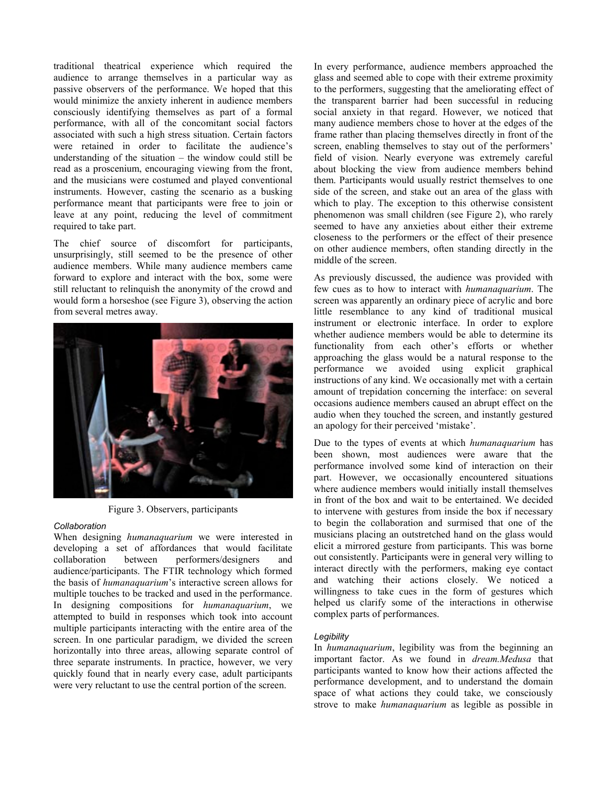traditional theatrical experience which required the audience to arrange themselves in a particular way as passive observers of the performance. We hoped that this would minimize the anxiety inherent in audience members consciously identifying themselves as part of a formal performance, with all of the concomitant social factors associated with such a high stress situation. Certain factors were retained in order to facilitate the audience's understanding of the situation – the window could still be read as a proscenium, encouraging viewing from the front, and the musicians were costumed and played conventional instruments. However, casting the scenario as a busking performance meant that participants were free to join or leave at any point, reducing the level of commitment required to take part.

The chief source of discomfort for participants, unsurprisingly, still seemed to be the presence of other audience members. While many audience members came forward to explore and interact with the box, some were still reluctant to relinquish the anonymity of the crowd and would form a horseshoe (see Figure 3), observing the action from several metres away.



Figure 3. Observers, participants

## *Collaboration*

When designing *humanaquarium* we were interested in developing a set of affordances that would facilitate collaboration between performers/designers and audience/participants. The FTIR technology which formed the basis of *humanaquarium*'s interactive screen allows for multiple touches to be tracked and used in the performance. In designing compositions for *humanaquarium*, we attempted to build in responses which took into account multiple participants interacting with the entire area of the screen. In one particular paradigm, we divided the screen horizontally into three areas, allowing separate control of three separate instruments. In practice, however, we very quickly found that in nearly every case, adult participants were very reluctant to use the central portion of the screen.

In every performance, audience members approached the glass and seemed able to cope with their extreme proximity to the performers, suggesting that the ameliorating effect of the transparent barrier had been successful in reducing social anxiety in that regard. However, we noticed that many audience members chose to hover at the edges of the frame rather than placing themselves directly in front of the screen, enabling themselves to stay out of the performers' field of vision. Nearly everyone was extremely careful about blocking the view from audience members behind them. Participants would usually restrict themselves to one side of the screen, and stake out an area of the glass with which to play. The exception to this otherwise consistent phenomenon was small children (see Figure 2), who rarely seemed to have any anxieties about either their extreme closeness to the performers or the effect of their presence on other audience members, often standing directly in the middle of the screen.

As previously discussed, the audience was provided with few cues as to how to interact with *humanaquarium*. The screen was apparently an ordinary piece of acrylic and bore little resemblance to any kind of traditional musical instrument or electronic interface. In order to explore whether audience members would be able to determine its functionality from each other's efforts or whether approaching the glass would be a natural response to the performance we avoided using explicit graphical instructions of any kind. We occasionally met with a certain amount of trepidation concerning the interface: on several occasions audience members caused an abrupt effect on the audio when they touched the screen, and instantly gestured an apology for their perceived 'mistake'.

Due to the types of events at which *humanaquarium* has been shown, most audiences were aware that the performance involved some kind of interaction on their part. However, we occasionally encountered situations where audience members would initially install themselves in front of the box and wait to be entertained. We decided to intervene with gestures from inside the box if necessary to begin the collaboration and surmised that one of the musicians placing an outstretched hand on the glass would elicit a mirrored gesture from participants. This was borne out consistently. Participants were in general very willing to interact directly with the performers, making eye contact and watching their actions closely. We noticed a willingness to take cues in the form of gestures which helped us clarify some of the interactions in otherwise complex parts of performances.

#### *Legibility*

In *humanaquarium*, legibility was from the beginning an important factor. As we found in *dream.Medusa* that participants wanted to know how their actions affected the performance development, and to understand the domain space of what actions they could take, we consciously strove to make *humanaquarium* as legible as possible in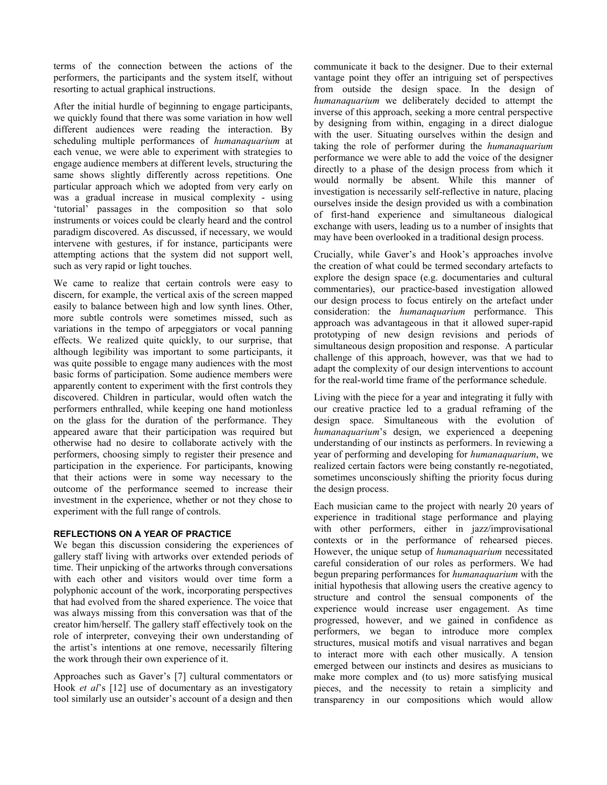terms of the connection between the actions of the performers, the participants and the system itself, without resorting to actual graphical instructions.

After the initial hurdle of beginning to engage participants, we quickly found that there was some variation in how well different audiences were reading the interaction. By scheduling multiple performances of *humanaquarium* at each venue, we were able to experiment with strategies to engage audience members at different levels, structuring the same shows slightly differently across repetitions. One particular approach which we adopted from very early on was a gradual increase in musical complexity - using 'tutorial' passages in the composition so that solo instruments or voices could be clearly heard and the control paradigm discovered. As discussed, if necessary, we would intervene with gestures, if for instance, participants were attempting actions that the system did not support well, such as very rapid or light touches.

We came to realize that certain controls were easy to discern, for example, the vertical axis of the screen mapped easily to balance between high and low synth lines. Other, more subtle controls were sometimes missed, such as variations in the tempo of arpeggiators or vocal panning effects. We realized quite quickly, to our surprise, that although legibility was important to some participants, it was quite possible to engage many audiences with the most basic forms of participation. Some audience members were apparently content to experiment with the first controls they discovered. Children in particular, would often watch the performers enthralled, while keeping one hand motionless on the glass for the duration of the performance. They appeared aware that their participation was required but otherwise had no desire to collaborate actively with the performers, choosing simply to register their presence and participation in the experience. For participants, knowing that their actions were in some way necessary to the outcome of the performance seemed to increase their investment in the experience, whether or not they chose to experiment with the full range of controls.

# **REFLECTIONS ON A YEAR OF PRACTICE**

We began this discussion considering the experiences of gallery staff living with artworks over extended periods of time. Their unpicking of the artworks through conversations with each other and visitors would over time form a polyphonic account of the work, incorporating perspectives that had evolved from the shared experience. The voice that was always missing from this conversation was that of the creator him/herself. The gallery staff effectively took on the role of interpreter, conveying their own understanding of the artist's intentions at one remove, necessarily filtering the work through their own experience of it.

Approaches such as Gaver's [7] cultural commentators or Hook *et al*'s [12] use of documentary as an investigatory tool similarly use an outsider's account of a design and then communicate it back to the designer. Due to their external vantage point they offer an intriguing set of perspectives from outside the design space. In the design of *humanaquarium* we deliberately decided to attempt the inverse of this approach, seeking a more central perspective by designing from within, engaging in a direct dialogue with the user. Situating ourselves within the design and taking the role of performer during the *humanaquarium*  performance we were able to add the voice of the designer directly to a phase of the design process from which it would normally be absent. While this manner of investigation is necessarily self-reflective in nature, placing ourselves inside the design provided us with a combination of first-hand experience and simultaneous dialogical exchange with users, leading us to a number of insights that may have been overlooked in a traditional design process.

Crucially, while Gaver's and Hook's approaches involve the creation of what could be termed secondary artefacts to explore the design space (e.g. documentaries and cultural commentaries), our practice-based investigation allowed our design process to focus entirely on the artefact under consideration: the *humanaquarium* performance. This approach was advantageous in that it allowed super-rapid prototyping of new design revisions and periods of simultaneous design proposition and response. A particular challenge of this approach, however, was that we had to adapt the complexity of our design interventions to account for the real-world time frame of the performance schedule.

Living with the piece for a year and integrating it fully with our creative practice led to a gradual reframing of the design space. Simultaneous with the evolution of *humanaquarium*'s design, we experienced a deepening understanding of our instincts as performers. In reviewing a year of performing and developing for *humanaquarium*, we realized certain factors were being constantly re-negotiated, sometimes unconsciously shifting the priority focus during the design process.

Each musician came to the project with nearly 20 years of experience in traditional stage performance and playing with other performers, either in jazz/improvisational contexts or in the performance of rehearsed pieces. However, the unique setup of *humanaquarium* necessitated careful consideration of our roles as performers. We had begun preparing performances for *humanaquarium* with the initial hypothesis that allowing users the creative agency to structure and control the sensual components of the experience would increase user engagement. As time progressed, however, and we gained in confidence as performers, we began to introduce more complex structures, musical motifs and visual narratives and began to interact more with each other musically. A tension emerged between our instincts and desires as musicians to make more complex and (to us) more satisfying musical pieces, and the necessity to retain a simplicity and transparency in our compositions which would allow